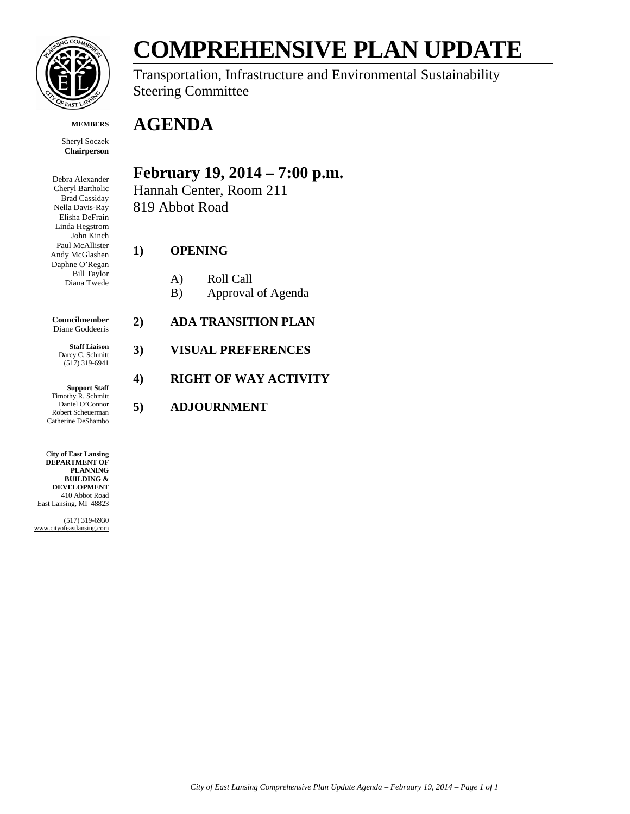

**MEMBERS**

Sheryl Soczek **Chairperson**

Debra Alexander Cheryl Bartholic Brad Cassiday Nella Davis-Ray Elisha DeFrain Linda Hegstrom John Kinch Paul McAllister Andy McGlashen Daphne O'Regan Bill Taylor Diana Twede

**Councilmember** Diane Goddeeris

**Staff Liaison** Darcy C. Schmitt (517) 319-6941

**Support Staff** Timothy R. Schmitt Daniel O'Connor Robert Scheuerman Catherine DeShambo

C**ity of East Lansing DEPARTMENT OF PLANNING BUILDING & DEVELOPMENT** 410 Abbot Road East Lansing, MI 48823

(517) 319-6930 www.cityofeastlansing.com

## **COMPREHENSIVE PLAN UPDATE**

Transportation, Infrastructure and Environmental Sustainability Steering Committee

## **AGENDA**

## **February 19, 2014 – 7:00 p.m.**

Hannah Center, Room 211 819 Abbot Road

## **1) OPENING**

- A) Roll Call
- B) Approval of Agenda
- **2) ADA TRANSITION PLAN**
- **3) VISUAL PREFERENCES**

## **4) RIGHT OF WAY ACTIVITY**

**5) ADJOURNMENT**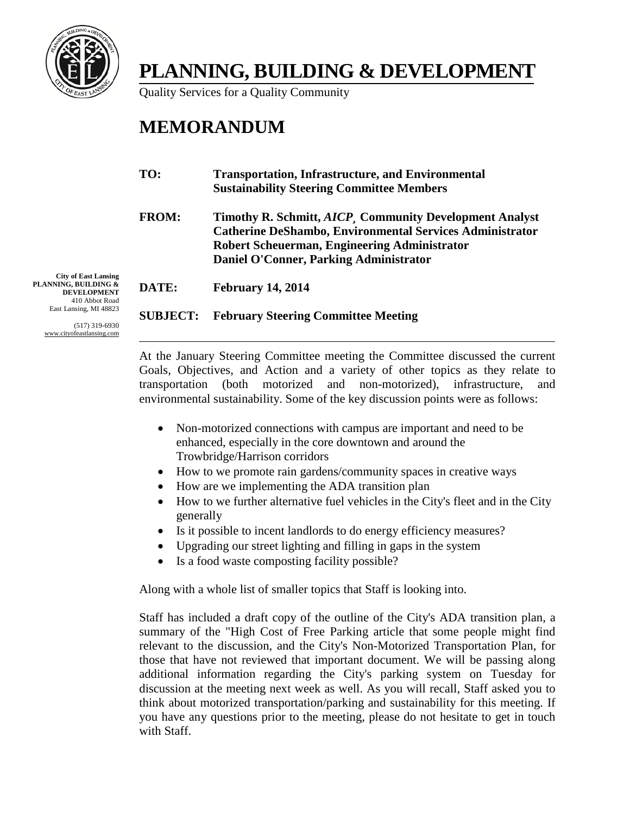

## **PLANNING, BUILDING & DEVELOPMENT**

Quality Services for a Quality Community

## **MEMORANDUM**

| TO:          | <b>Transportation, Infrastructure, and Environmental</b><br><b>Sustainability Steering Committee Members</b>                                                                                                                        |
|--------------|-------------------------------------------------------------------------------------------------------------------------------------------------------------------------------------------------------------------------------------|
| <b>FROM:</b> | Timothy R. Schmitt, <i>AICP</i> , Community Development Analyst<br><b>Catherine DeShambo, Environmental Services Administrator</b><br>Robert Scheuerman, Engineering Administrator<br><b>Daniel O'Conner, Parking Administrator</b> |
| DATE:        | <b>February 14, 2014</b>                                                                                                                                                                                                            |

#### **SUBJECT: February Steering Committee Meeting**

**City of East Lansing PLANNING, BUILDING & DEVELOPMENT** 410 Abbot Road East Lansing, MI 48823

> (517) 319-6930 www.cityofeastlansing.com

> > At the January Steering Committee meeting the Committee discussed the current Goals, Objectives, and Action and a variety of other topics as they relate to transportation (both motorized and non-motorized), infrastructure, and environmental sustainability. Some of the key discussion points were as follows:

- Non-motorized connections with campus are important and need to be enhanced, especially in the core downtown and around the Trowbridge/Harrison corridors
- How to we promote rain gardens/community spaces in creative ways
- How are we implementing the ADA transition plan
- How to we further alternative fuel vehicles in the City's fleet and in the City generally
- Is it possible to incent landlords to do energy efficiency measures?
- Upgrading our street lighting and filling in gaps in the system
- Is a food waste composting facility possible?

Along with a whole list of smaller topics that Staff is looking into.

Staff has included a draft copy of the outline of the City's ADA transition plan, a summary of the "High Cost of Free Parking article that some people might find relevant to the discussion, and the City's Non-Motorized Transportation Plan, for those that have not reviewed that important document. We will be passing along additional information regarding the City's parking system on Tuesday for discussion at the meeting next week as well. As you will recall, Staff asked you to think about motorized transportation/parking and sustainability for this meeting. If you have any questions prior to the meeting, please do not hesitate to get in touch with Staff.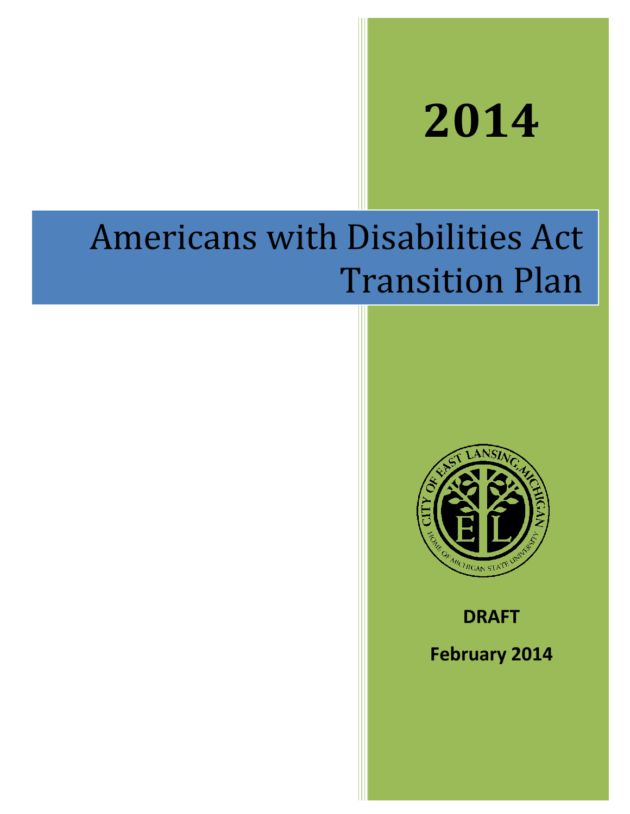# **2014**

## Americans with Disabilities Act Transition Plan



**DRAFT**

**February 2014**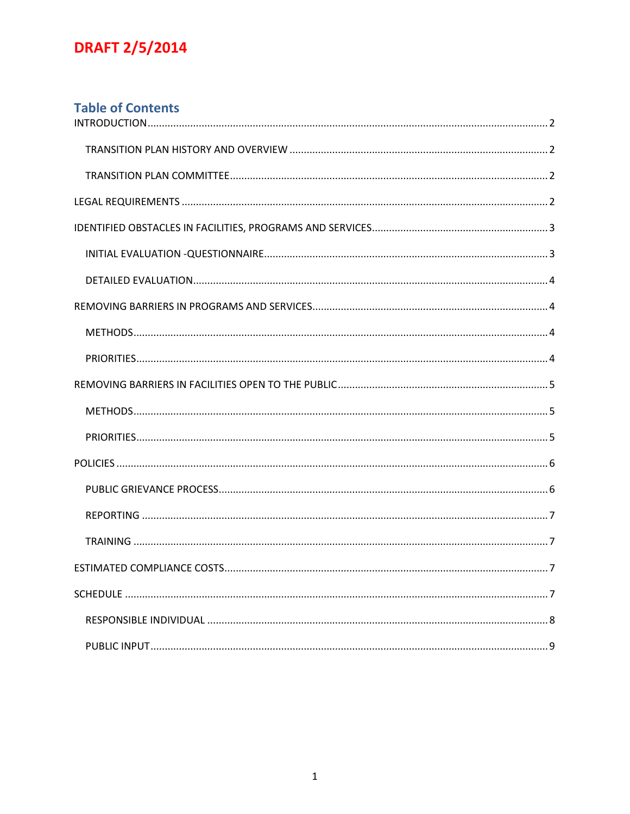## **Table of Contents**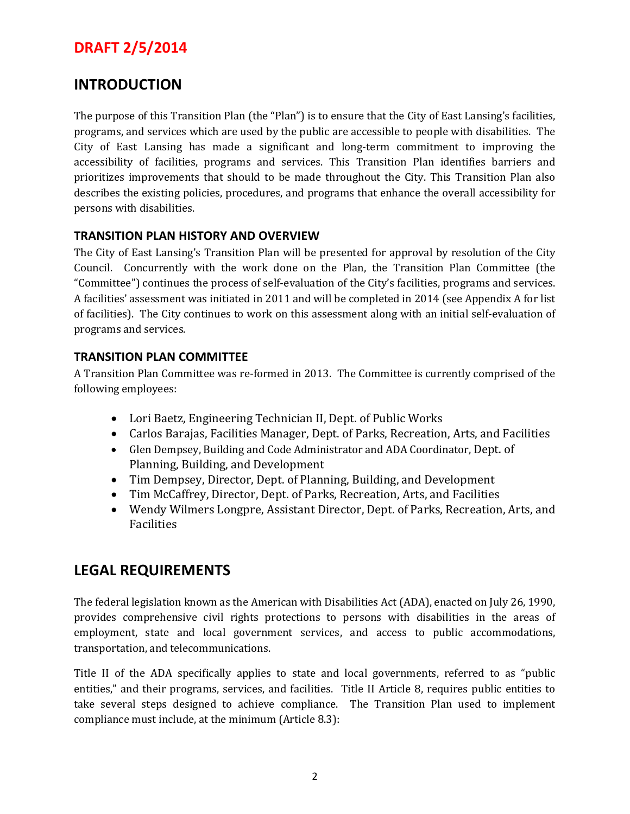## <span id="page-4-0"></span>**INTRODUCTION**

The purpose of this Transition Plan (the "Plan") is to ensure that the City of East Lansing's facilities, programs, and services which are used by the public are accessible to people with disabilities. The City of East Lansing has made a significant and long-term commitment to improving the accessibility of facilities, programs and services. This Transition Plan identifies barriers and prioritizes improvements that should to be made throughout the City. This Transition Plan also describes the existing policies, procedures, and programs that enhance the overall accessibility for persons with disabilities.

#### <span id="page-4-1"></span>**TRANSITION PLAN HISTORY AND OVERVIEW**

The City of East Lansing's Transition Plan will be presented for approval by resolution of the City Council. Concurrently with the work done on the Plan, the Transition Plan Committee (the "Committee") continues the process of self-evaluation of the City's facilities, programs and services. A facilities' assessment was initiated in 2011 and will be completed in 2014 (see Appendix A for list of facilities). The City continues to work on this assessment along with an initial self-evaluation of programs and services.

#### <span id="page-4-2"></span>**TRANSITION PLAN COMMITTEE**

A Transition Plan Committee was re-formed in 2013. The Committee is currently comprised of the following employees:

- Lori Baetz, Engineering Technician II, Dept. of Public Works
- Carlos Barajas, Facilities Manager, Dept. of Parks, Recreation, Arts, and Facilities
- Glen Dempsey, Building and Code Administrator and ADA Coordinator, Dept. of Planning, Building, and Development
- Tim Dempsey, Director, Dept. of Planning, Building, and Development
- Tim McCaffrey, Director, Dept. of Parks, Recreation, Arts, and Facilities
- Wendy Wilmers Longpre, Assistant Director, Dept. of Parks, Recreation, Arts, and Facilities

## <span id="page-4-3"></span>**LEGAL REQUIREMENTS**

The federal legislation known as the American with Disabilities Act (ADA), enacted on July 26, 1990, provides comprehensive civil rights protections to persons with disabilities in the areas of employment, state and local government services, and access to public accommodations, transportation, and telecommunications.

Title II of the ADA specifically applies to state and local governments, referred to as "public entities," and their programs, services, and facilities. Title II Article 8, requires public entities to take several steps designed to achieve compliance. The Transition Plan used to implement compliance must include, at the minimum (Article 8.3):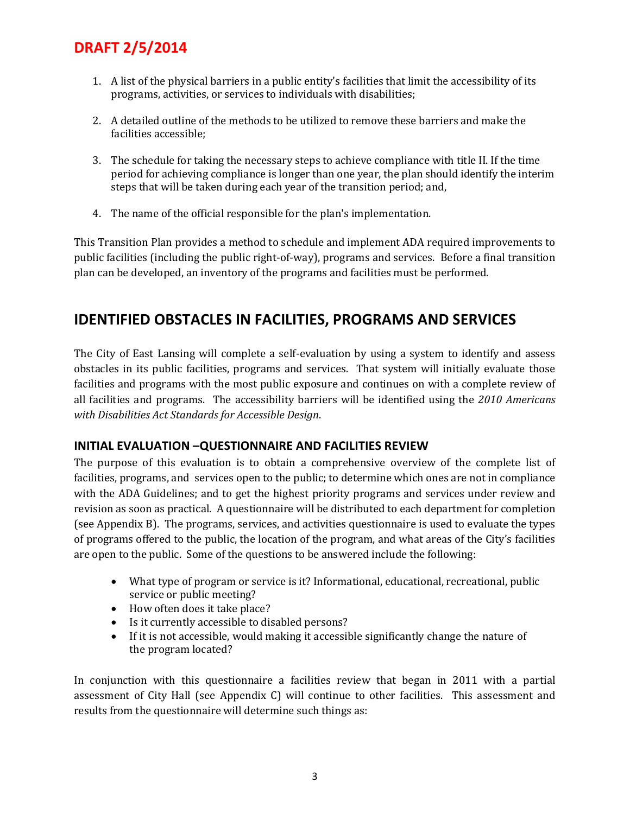- 1. A list of the physical barriers in a public entity's facilities that limit the accessibility of its programs, activities, or services to individuals with disabilities;
- 2. A detailed outline of the methods to be utilized to remove these barriers and make the facilities accessible;
- 3. The schedule for taking the necessary steps to achieve compliance with title II. If the time period for achieving compliance is longer than one year, the plan should identify the interim steps that will be taken during each year of the transition period; and,
- 4. The name of the official responsible for the plan's implementation.

This Transition Plan provides a method to schedule and implement ADA required improvements to public facilities (including the public right-of-way), programs and services. Before a final transition plan can be developed, an inventory of the programs and facilities must be performed.

## <span id="page-5-0"></span>**IDENTIFIED OBSTACLES IN FACILITIES, PROGRAMS AND SERVICES**

The City of East Lansing will complete a self-evaluation by using a system to identify and assess obstacles in its public facilities, programs and services. That system will initially evaluate those facilities and programs with the most public exposure and continues on with a complete review of all facilities and programs. The accessibility barriers will be identified using the *2010 Americans with Disabilities Act Standards for Accessible Design*.

### <span id="page-5-1"></span>**INITIAL EVALUATION –QUESTIONNAIRE AND FACILITIES REVIEW**

The purpose of this evaluation is to obtain a comprehensive overview of the complete list of facilities, programs, and services open to the public; to determine which ones are not in compliance with the ADA Guidelines; and to get the highest priority programs and services under review and revision as soon as practical. A questionnaire will be distributed to each department for completion (see Appendix B). The programs, services, and activities questionnaire is used to evaluate the types of programs offered to the public, the location of the program, and what areas of the City's facilities are open to the public. Some of the questions to be answered include the following:

- What type of program or service is it? Informational, educational, recreational, public service or public meeting?
- How often does it take place?
- Is it currently accessible to disabled persons?
- If it is not accessible, would making it accessible significantly change the nature of the program located?

In conjunction with this questionnaire a facilities review that began in 2011 with a partial assessment of City Hall (see Appendix C) will continue to other facilities. This assessment and results from the questionnaire will determine such things as: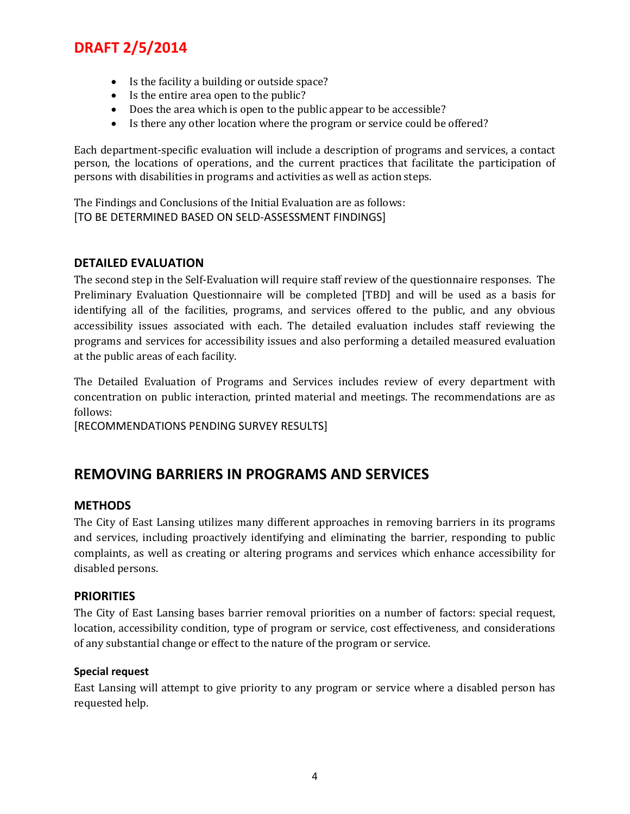- Is the facility a building or outside space?
- Is the entire area open to the public?
- Does the area which is open to the public appear to be accessible?
- Is there any other location where the program or service could be offered?

Each department-specific evaluation will include a description of programs and services, a contact person, the locations of operations, and the current practices that facilitate the participation of persons with disabilities in programs and activities as well as action steps.

The Findings and Conclusions of the Initial Evaluation are as follows: [TO BE DETERMINED BASED ON SELD-ASSESSMENT FINDINGS]

#### <span id="page-6-0"></span>**DETAILED EVALUATION**

The second step in the Self-Evaluation will require staff review of the questionnaire responses. The Preliminary Evaluation Questionnaire will be completed [TBD] and will be used as a basis for identifying all of the facilities, programs, and services offered to the public, and any obvious accessibility issues associated with each. The detailed evaluation includes staff reviewing the programs and services for accessibility issues and also performing a detailed measured evaluation at the public areas of each facility.

The Detailed Evaluation of Programs and Services includes review of every department with concentration on public interaction, printed material and meetings. The recommendations are as follows:

[RECOMMENDATIONS PENDING SURVEY RESULTS]

## <span id="page-6-1"></span>**REMOVING BARRIERS IN PROGRAMS AND SERVICES**

#### <span id="page-6-2"></span>**METHODS**

The City of East Lansing utilizes many different approaches in removing barriers in its programs and services, including proactively identifying and eliminating the barrier, responding to public complaints, as well as creating or altering programs and services which enhance accessibility for disabled persons.

#### <span id="page-6-3"></span>**PRIORITIES**

The City of East Lansing bases barrier removal priorities on a number of factors: special request, location, accessibility condition, type of program or service, cost effectiveness, and considerations of any substantial change or effect to the nature of the program or service.

#### **Special request**

East Lansing will attempt to give priority to any program or service where a disabled person has requested help.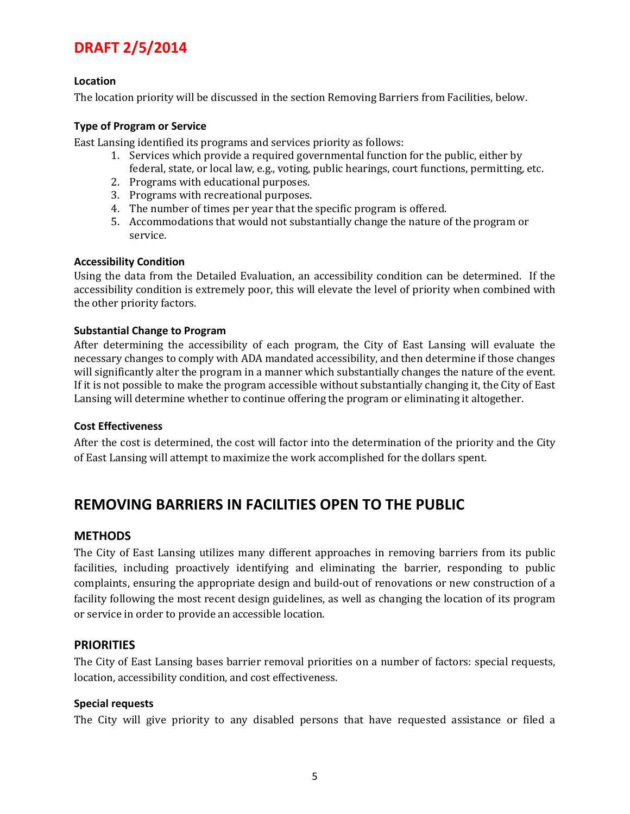#### **Location**

The location priority will be discussed in the section Removing Barriers from Facilities, below.

#### **Type of Program or Service**

East Lansing identified its programs and services priority as follows:

- 1. Services which provide a required governmental function for the public, either by federal, state, or local law, e.g., voting, public hearings, court functions, permitting, etc.
- 2. Programs with educational purposes.
- 3. Programs with recreational purposes.
- 4. The number of times per year that the specific program is offered.
- 5. Accommodations that would not substantially change the nature of the program or service.

#### **Accessibility Condition**

Using the data from the Detailed Evaluation, an accessibility condition can be determined. If the accessibility condition is extremely poor, this will elevate the level of priority when combined with the other priority factors.

#### **Substantial Change to Program**

After determining the accessibility of each program, the City of East Lansing will evaluate the necessary changes to comply with ADA mandated accessibility, and then determine if those changes will significantly alter the program in a manner which substantially changes the nature of the event. If it is not possible to make the program accessible without substantially changing it, the City of East Lansing will determine whether to continue offering the program or eliminating it altogether.

#### **Cost Effectiveness**

After the cost is determined, the cost will factor into the determination of the priority and the City of East Lansing will attempt to maximize the work accomplished for the dollars spent.

## <span id="page-7-0"></span>**REMOVING BARRIERS IN FACILITIES OPEN TO THE PUBLIC**

#### <span id="page-7-1"></span>**METHODS**

The City of East Lansing utilizes many different approaches in removing barriers from its public facilities, including proactively identifying and eliminating the barrier, responding to public complaints, ensuring the appropriate design and build-out of renovations or new construction of a facility following the most recent design guidelines, as well as changing the location of its program or service in order to provide an accessible location.

#### <span id="page-7-2"></span>**PRIORITIES**

The City of East Lansing bases barrier removal priorities on a number of factors: special requests, location, accessibility condition, and cost effectiveness.

#### **Special requests**

The City will give priority to any disabled persons that have requested assistance or filed a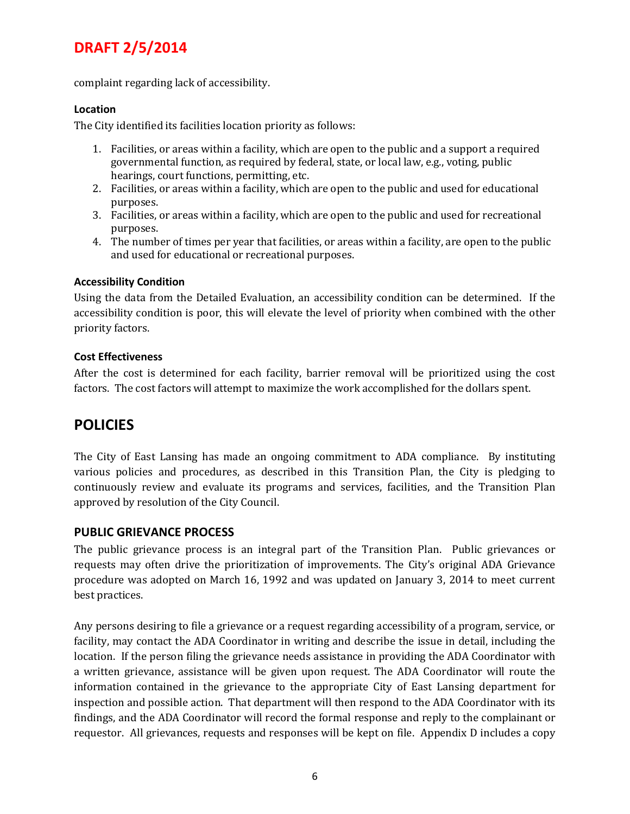complaint regarding lack of accessibility.

#### **Location**

The City identified its facilities location priority as follows:

- 1. Facilities, or areas within a facility, which are open to the public and a support a required governmental function, as required by federal, state, or local law, e.g., voting, public hearings, court functions, permitting, etc.
- 2. Facilities, or areas within a facility, which are open to the public and used for educational purposes.
- 3. Facilities, or areas within a facility, which are open to the public and used for recreational purposes.
- 4. The number of times per year that facilities, or areas within a facility, are open to the public and used for educational or recreational purposes.

#### **Accessibility Condition**

Using the data from the Detailed Evaluation, an accessibility condition can be determined. If the accessibility condition is poor, this will elevate the level of priority when combined with the other priority factors.

#### **Cost Effectiveness**

After the cost is determined for each facility, barrier removal will be prioritized using the cost factors. The cost factors will attempt to maximize the work accomplished for the dollars spent.

## <span id="page-8-0"></span>**POLICIES**

The City of East Lansing has made an ongoing commitment to ADA compliance. By instituting various policies and procedures, as described in this Transition Plan, the City is pledging to continuously review and evaluate its programs and services, facilities, and the Transition Plan approved by resolution of the City Council.

#### <span id="page-8-1"></span>**PUBLIC GRIEVANCE PROCESS**

The public grievance process is an integral part of the Transition Plan. Public grievances or requests may often drive the prioritization of improvements. The City's original ADA Grievance procedure was adopted on March 16, 1992 and was updated on January 3, 2014 to meet current best practices.

Any persons desiring to file a grievance or a request regarding accessibility of a program, service, or facility, may contact the ADA Coordinator in writing and describe the issue in detail, including the location. If the person filing the grievance needs assistance in providing the ADA Coordinator with a written grievance, assistance will be given upon request. The ADA Coordinator will route the information contained in the grievance to the appropriate City of East Lansing department for inspection and possible action. That department will then respond to the ADA Coordinator with its findings, and the ADA Coordinator will record the formal response and reply to the complainant or requestor. All grievances, requests and responses will be kept on file. Appendix D includes a copy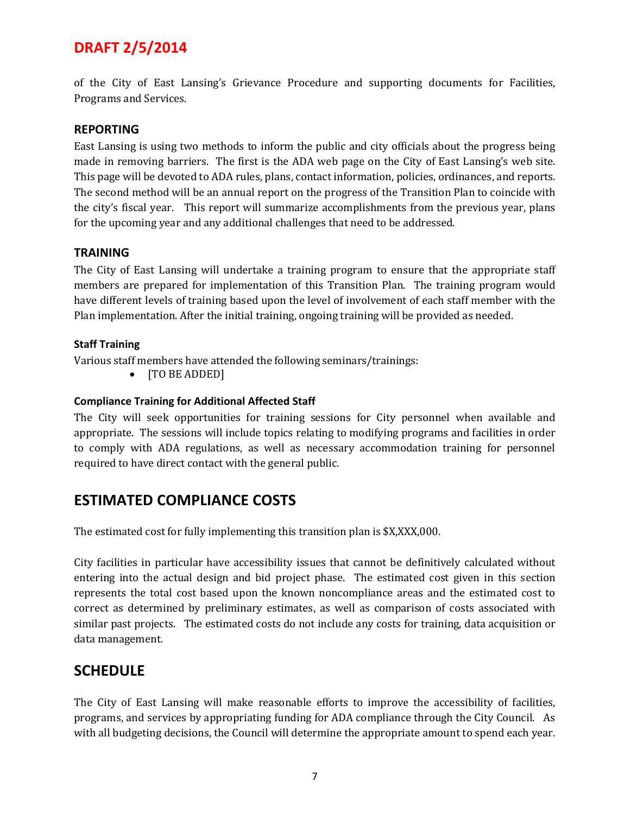of the City of East Lansing's Grievance Procedure and supporting documents for Facilities, Programs and Services.

#### <span id="page-9-0"></span>**REPORTING**

East Lansing is using two methods to inform the public and city officials about the progress being made in removing barriers. The first is the ADA web page on the City of East Lansing's web site. This page will be devoted to ADA rules, plans, contact information, policies, ordinances, and reports. The second method will be an annual report on the progress of the Transition Plan to coincide with the city's fiscal year. This report will summarize accomplishments from the previous year, plans for the upcoming year and any additional challenges that need to be addressed.

#### <span id="page-9-1"></span>**TRAINING**

The City of East Lansing will undertake a training program to ensure that the appropriate staff members are prepared for implementation of this Transition Plan. The training program would have different levels of training based upon the level of involvement of each staff member with the Plan implementation. After the initial training, ongoing training will be provided as needed.

#### **Staff Training**

Various staff members have attended the following seminars/trainings:

• [TO BE ADDED]

#### **Compliance Training for Additional Affected Staff**

The City will seek opportunities for training sessions for City personnel when available and appropriate. The sessions will include topics relating to modifying programs and facilities in order to comply with ADA regulations, as well as necessary accommodation training for personnel required to have direct contact with the general public.

## <span id="page-9-2"></span>**ESTIMATED COMPLIANCE COSTS**

The estimated cost for fully implementing this transition plan is \$X,XXX,000.

City facilities in particular have accessibility issues that cannot be definitively calculated without entering into the actual design and bid project phase. The estimated cost given in this section represents the total cost based upon the known noncompliance areas and the estimated cost to correct as determined by preliminary estimates, as well as comparison of costs associated with similar past projects. The estimated costs do not include any costs for training, data acquisition or data management.

## <span id="page-9-3"></span>**SCHEDULE**

The City of East Lansing will make reasonable efforts to improve the accessibility of facilities, programs, and services by appropriating funding for ADA compliance through the City Council. As with all budgeting decisions, the Council will determine the appropriate amount to spend each year.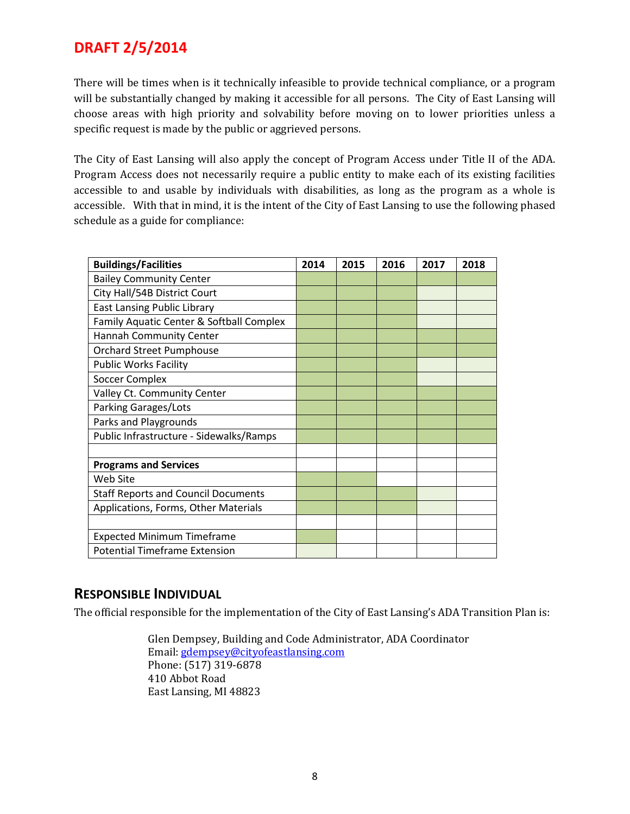There will be times when is it technically infeasible to provide technical compliance, or a program will be substantially changed by making it accessible for all persons. The City of East Lansing will choose areas with high priority and solvability before moving on to lower priorities unless a specific request is made by the public or aggrieved persons.

The City of East Lansing will also apply the concept of Program Access under Title II of the ADA. Program Access does not necessarily require a public entity to make each of its existing facilities accessible to and usable by individuals with disabilities, as long as the program as a whole is accessible. With that in mind, it is the intent of the City of East Lansing to use the following phased schedule as a guide for compliance:

| <b>Buildings/Facilities</b>                | 2014 | 2015 | 2016 | 2017 | 2018 |
|--------------------------------------------|------|------|------|------|------|
| <b>Bailey Community Center</b>             |      |      |      |      |      |
| City Hall/54B District Court               |      |      |      |      |      |
| <b>East Lansing Public Library</b>         |      |      |      |      |      |
| Family Aquatic Center & Softball Complex   |      |      |      |      |      |
| Hannah Community Center                    |      |      |      |      |      |
| <b>Orchard Street Pumphouse</b>            |      |      |      |      |      |
| <b>Public Works Facility</b>               |      |      |      |      |      |
| <b>Soccer Complex</b>                      |      |      |      |      |      |
| Valley Ct. Community Center                |      |      |      |      |      |
| Parking Garages/Lots                       |      |      |      |      |      |
| Parks and Playgrounds                      |      |      |      |      |      |
| Public Infrastructure - Sidewalks/Ramps    |      |      |      |      |      |
|                                            |      |      |      |      |      |
| <b>Programs and Services</b>               |      |      |      |      |      |
| Web Site                                   |      |      |      |      |      |
| <b>Staff Reports and Council Documents</b> |      |      |      |      |      |
| Applications, Forms, Other Materials       |      |      |      |      |      |
|                                            |      |      |      |      |      |
| <b>Expected Minimum Timeframe</b>          |      |      |      |      |      |
| <b>Potential Timeframe Extension</b>       |      |      |      |      |      |

### <span id="page-10-0"></span>**RESPONSIBLE INDIVIDUAL**

<span id="page-10-1"></span>The official responsible for the implementation of the City of East Lansing's ADA Transition Plan is:

Glen Dempsey, Building and Code Administrator, ADA Coordinator Email: [gdempsey@cityofeastlansing.com](mailto:gdempsey@cityofeastlansing.com) Phone: (517) 319-6878 410 Abbot Road East Lansing, MI 48823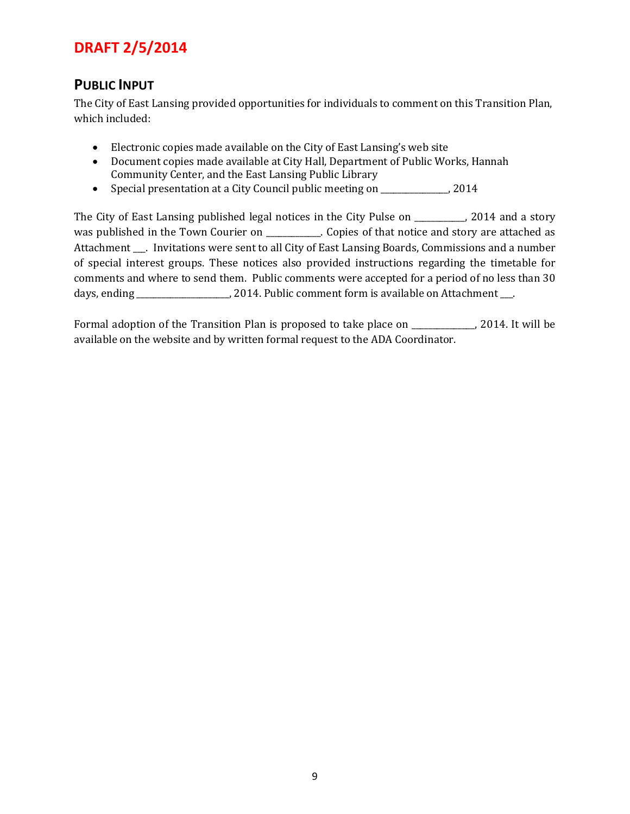## **PUBLIC INPUT**

The City of East Lansing provided opportunities for individuals to comment on this Transition Plan, which included:

- Electronic copies made available on the City of East Lansing's web site
- Document copies made available at City Hall, Department of Public Works, Hannah Community Center, and the East Lansing Public Library
- Special presentation at a City Council public meeting on  $2014$

The City of East Lansing published legal notices in the City Pulse on \_\_\_\_\_\_\_\_, 2014 and a story was published in the Town Courier on \_\_\_\_\_\_\_\_\_\_. Copies of that notice and story are attached as Attachment \_\_\_. Invitations were sent to all City of East Lansing Boards, Commissions and a number of special interest groups. These notices also provided instructions regarding the timetable for comments and where to send them. Public comments were accepted for a period of no less than 30 days, ending \_\_\_\_\_\_\_\_\_\_\_\_\_\_\_\_\_\_\_\_, 2014. Public comment form is available on Attachment \_\_\_.

Formal adoption of the Transition Plan is proposed to take place on \_\_\_\_\_\_\_\_\_\_, 2014. It will be available on the website and by written formal request to the ADA Coordinator.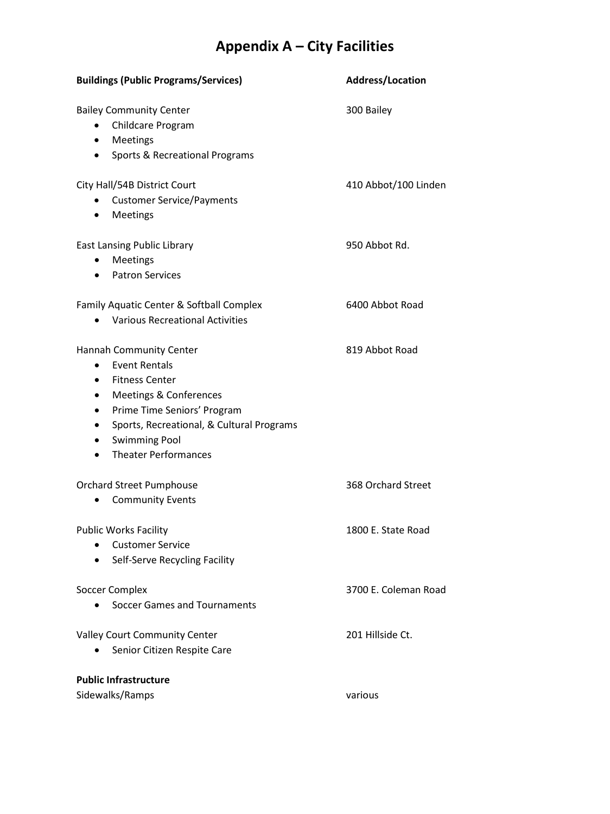## **Appendix A – City Facilities**

| <b>Buildings (Public Programs/Services)</b>                                                                                                                                                                                                                     | <b>Address/Location</b> |  |  |
|-----------------------------------------------------------------------------------------------------------------------------------------------------------------------------------------------------------------------------------------------------------------|-------------------------|--|--|
| <b>Bailey Community Center</b><br>Childcare Program<br>$\bullet$<br>Meetings<br>Sports & Recreational Programs<br>٠                                                                                                                                             | 300 Bailey              |  |  |
| City Hall/54B District Court<br><b>Customer Service/Payments</b><br>Meetings<br>$\bullet$                                                                                                                                                                       | 410 Abbot/100 Linden    |  |  |
| East Lansing Public Library<br>Meetings<br><b>Patron Services</b><br>$\bullet$                                                                                                                                                                                  | 950 Abbot Rd.           |  |  |
| Family Aquatic Center & Softball Complex<br><b>Various Recreational Activities</b>                                                                                                                                                                              | 6400 Abbot Road         |  |  |
| Hannah Community Center<br><b>Event Rentals</b><br>$\bullet$<br><b>Fitness Center</b><br>Meetings & Conferences<br>Prime Time Seniors' Program<br>Sports, Recreational, & Cultural Programs<br><b>Swimming Pool</b><br><b>Theater Performances</b><br>$\bullet$ | 819 Abbot Road          |  |  |
| <b>Orchard Street Pumphouse</b><br><b>Community Events</b>                                                                                                                                                                                                      | 368 Orchard Street      |  |  |
| <b>Public Works Facility</b><br><b>Customer Service</b><br>Self-Serve Recycling Facility                                                                                                                                                                        | 1800 E. State Road      |  |  |
| <b>Soccer Complex</b><br>Soccer Games and Tournaments                                                                                                                                                                                                           | 3700 E. Coleman Road    |  |  |
| <b>Valley Court Community Center</b><br>Senior Citizen Respite Care                                                                                                                                                                                             | 201 Hillside Ct.        |  |  |
| <b>Public Infrastructure</b><br>Sidewalks/Ramps                                                                                                                                                                                                                 | various                 |  |  |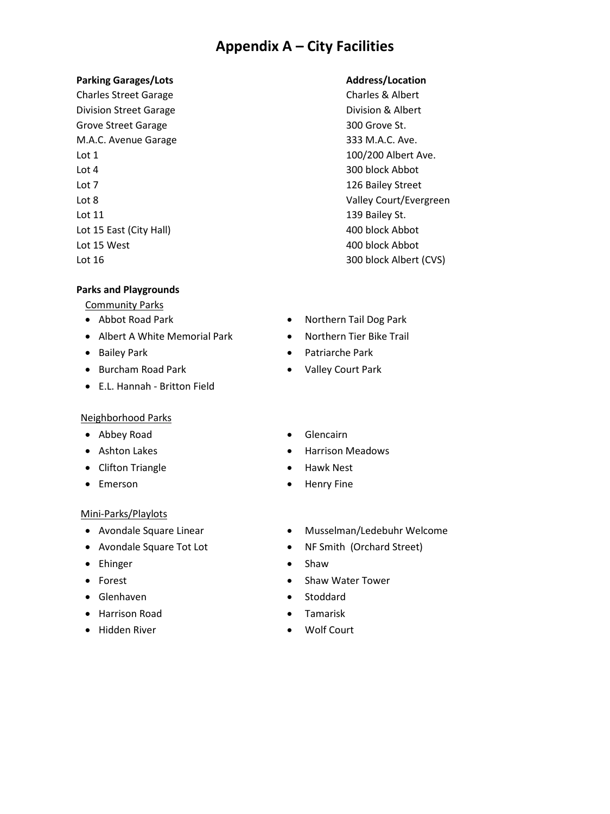## **Appendix A – City Facilities**

#### **Parking Garages/Lots Address/Location**

Charles Street Garage Charles & Albert Division Street Garage **Division & Albert** Grove Street Garage 300 Grove St. M.A.C. Avenue Garage 333 M.A.C. Ave. Lot 1 100/200 Albert Ave. Lot 4 300 block Abbot Lot 7 126 Bailey Street Lot 11 139 Bailey St. Lot 15 East (City Hall) 400 block Abbot Lot 15 West 15 West 15 West 15 West 15 West 15 West 16 West 16 West 16 West 16 West 16 West 16 West 16 West 16 W Lot 16 300 block Albert (CVS)

#### **Parks and Playgrounds**

Community Parks

- 
- Albert A White Memorial Park Northern Tier Bike Trail
- 
- Burcham Road Park Valley Court Park
- E.L. Hannah Britton Field

#### Neighborhood Parks

- Abbey Road Glencairn
- 
- Clifton Triangle  **Hawk Nest**
- 

#### Mini-Parks/Playlots

- 
- 
- Ehinger Shaw
- 
- Glenhaven Stoddard
- Harrison Road Tamarisk
- Hidden River Wolf Court

Lot 8 Valley Court/Evergreen

- Abbot Road Park Northern Tail Dog Park
	-
- Bailey Park Patriarche Park
	-
	-
- Ashton Lakes Harrison Meadows
	-
- Emerson Henry Fine
- Avondale Square Linear Musselman/Ledebuhr Welcome
- Avondale Square Tot Lot **•** NF Smith (Orchard Street)
	-
- Forest Shaw Water Tower
	-
	-
	-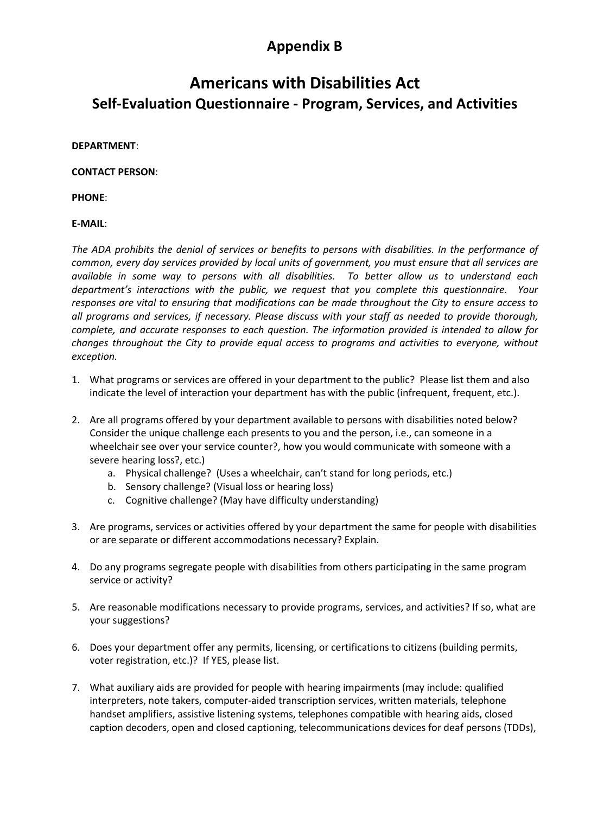## **Appendix B**

## **Americans with Disabilities Act Self-Evaluation Questionnaire - Program, Services, and Activities**

#### **DEPARTMENT**:

#### **CONTACT PERSON**:

**PHONE**:

#### **E-MAIL**:

*The ADA prohibits the denial of services or benefits to persons with disabilities. In the performance of common, every day services provided by local units of government, you must ensure that all services are available in some way to persons with all disabilities. To better allow us to understand each department's interactions with the public, we request that you complete this questionnaire. Your responses are vital to ensuring that modifications can be made throughout the City to ensure access to all programs and services, if necessary. Please discuss with your staff as needed to provide thorough, complete, and accurate responses to each question. The information provided is intended to allow for changes throughout the City to provide equal access to programs and activities to everyone, without exception.* 

- 1. What programs or services are offered in your department to the public? Please list them and also indicate the level of interaction your department has with the public (infrequent, frequent, etc.).
- 2. Are all programs offered by your department available to persons with disabilities noted below? Consider the unique challenge each presents to you and the person, i.e., can someone in a wheelchair see over your service counter?, how you would communicate with someone with a severe hearing loss?, etc.)
	- a. Physical challenge? (Uses a wheelchair, can't stand for long periods, etc.)
	- b. Sensory challenge? (Visual loss or hearing loss)
	- c. Cognitive challenge? (May have difficulty understanding)
- 3. Are programs, services or activities offered by your department the same for people with disabilities or are separate or different accommodations necessary? Explain.
- 4. Do any programs segregate people with disabilities from others participating in the same program service or activity?
- 5. Are reasonable modifications necessary to provide programs, services, and activities? If so, what are your suggestions?
- 6. Does your department offer any permits, licensing, or certifications to citizens (building permits, voter registration, etc.)? If YES, please list.
- 7. What auxiliary aids are provided for people with hearing impairments (may include: qualified interpreters, note takers, computer-aided transcription services, written materials, telephone handset amplifiers, assistive listening systems, telephones compatible with hearing aids, closed caption decoders, open and closed captioning, telecommunications devices for deaf persons (TDDs),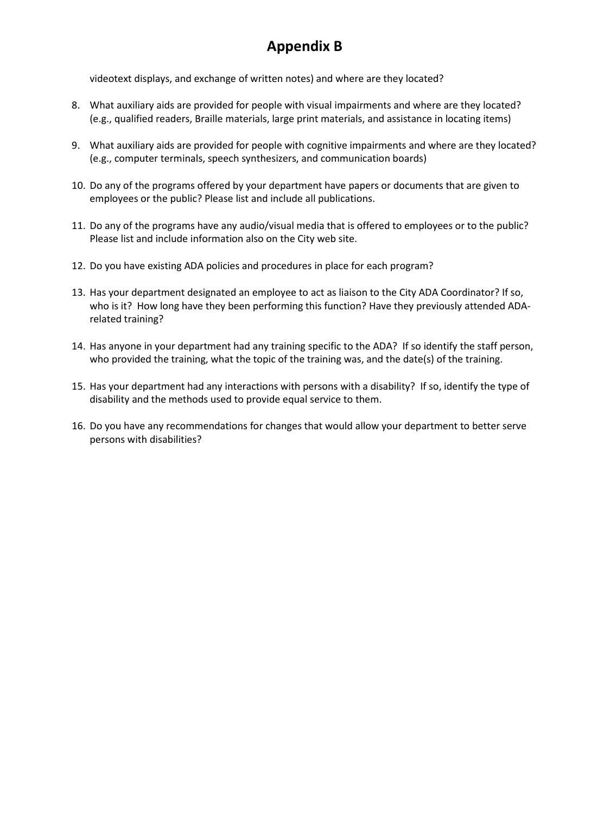## **Appendix B**

videotext displays, and exchange of written notes) and where are they located?

- 8. What auxiliary aids are provided for people with visual impairments and where are they located? (e.g., qualified readers, Braille materials, large print materials, and assistance in locating items)
- 9. What auxiliary aids are provided for people with cognitive impairments and where are they located? (e.g., computer terminals, speech synthesizers, and communication boards)
- 10. Do any of the programs offered by your department have papers or documents that are given to employees or the public? Please list and include all publications.
- 11. Do any of the programs have any audio/visual media that is offered to employees or to the public? Please list and include information also on the City web site.
- 12. Do you have existing ADA policies and procedures in place for each program?
- 13. Has your department designated an employee to act as liaison to the City ADA Coordinator? If so, who is it? How long have they been performing this function? Have they previously attended ADArelated training?
- 14. Has anyone in your department had any training specific to the ADA? If so identify the staff person, who provided the training, what the topic of the training was, and the date(s) of the training.
- 15. Has your department had any interactions with persons with a disability? If so, identify the type of disability and the methods used to provide equal service to them.
- 16. Do you have any recommendations for changes that would allow your department to better serve persons with disabilities?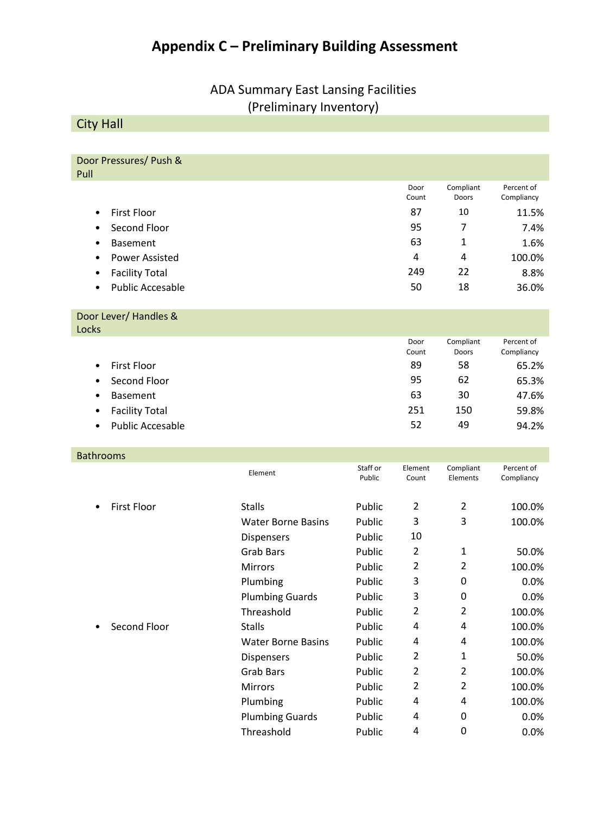## **Appendix C – Preliminary Building Assessment**

## ADA Summary East Lansing Facilities (Preliminary Inventory)

City Hall

Door Pressures/ Push & Pull

|                                      | Door<br>Count | Compliant<br>Doors | Percent of<br>Compliancy |
|--------------------------------------|---------------|--------------------|--------------------------|
| <b>First Floor</b><br>$\bullet$      | 87            | 10                 | 11.5%                    |
| Second Floor<br>$\bullet$            | 95            | 7                  | 7.4%                     |
| <b>Basement</b><br>٠                 | 63            |                    | 1.6%                     |
| Power Assisted<br>٠                  | 4             | 4                  | 100.0%                   |
| <b>Facility Total</b><br>$\bullet$   | 249           | 22                 | 8.8%                     |
| <b>Public Accesable</b><br>$\bullet$ | 50            | 18                 | 36.0%                    |

#### Door Lever/ Handles & Locks

| ルハコ       |                         |       |           |            |
|-----------|-------------------------|-------|-----------|------------|
|           |                         | Door  | Compliant | Percent of |
|           |                         | Count | Doors     | Compliancy |
| $\bullet$ | <b>First Floor</b>      | 89    | 58        | 65.2%      |
| $\bullet$ | Second Floor            | 95    | 62        | 65.3%      |
| $\bullet$ | <b>Basement</b>         | 63    | 30        | 47.6%      |
| $\bullet$ | <b>Facility Total</b>   | 251   | 150       | 59.8%      |
| $\bullet$ | <b>Public Accesable</b> | 52    | 49        | 94.2%      |
|           |                         |       |           |            |

#### Bathrooms

|                         | Element                   | Staff or<br>Public | Element<br>Count | Compliant<br>Elements | Percent of<br>Compliancy |
|-------------------------|---------------------------|--------------------|------------------|-----------------------|--------------------------|
| <b>First Floor</b><br>٠ | <b>Stalls</b>             | Public             | 2                | 2                     | 100.0%                   |
|                         | <b>Water Borne Basins</b> | Public             | 3                | 3                     | 100.0%                   |
|                         | <b>Dispensers</b>         | Public             | 10               |                       |                          |
|                         | <b>Grab Bars</b>          | Public             | 2                | 1                     | 50.0%                    |
|                         | <b>Mirrors</b>            | Public             | 2                | 2                     | 100.0%                   |
|                         | Plumbing                  | Public             | 3                | 0                     | 0.0%                     |
|                         | <b>Plumbing Guards</b>    | Public             | 3                | 0                     | 0.0%                     |
|                         | Threashold                | Public             | 2                | 2                     | 100.0%                   |
| Second Floor            | <b>Stalls</b>             | Public             | 4                | 4                     | 100.0%                   |
|                         | <b>Water Borne Basins</b> | Public             | 4                | 4                     | 100.0%                   |
|                         | <b>Dispensers</b>         | Public             | 2                | 1                     | 50.0%                    |
|                         | Grab Bars                 | Public             | 2                | 2                     | 100.0%                   |
|                         | <b>Mirrors</b>            | Public             | 2                | 2                     | 100.0%                   |
|                         | Plumbing                  | Public             | 4                | 4                     | 100.0%                   |
|                         | <b>Plumbing Guards</b>    | Public             | 4                | 0                     | 0.0%                     |
|                         | Threashold                | Public             | 4                | 0                     | 0.0%                     |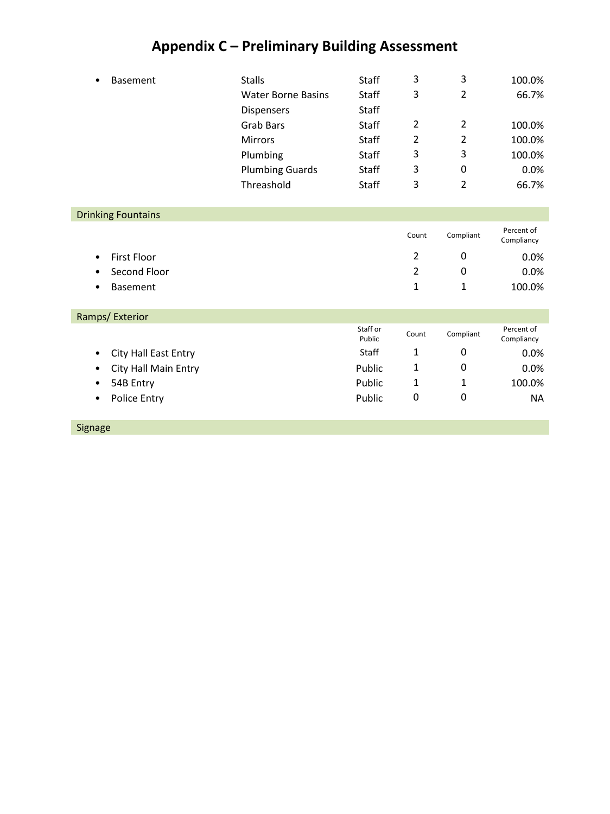## **Appendix C – Preliminary Building Assessment**

| <b>Basement</b>           | <b>Stalls</b>             | Staff              | 3              | 3                | 100.0%                   |
|---------------------------|---------------------------|--------------------|----------------|------------------|--------------------------|
|                           | <b>Water Borne Basins</b> | <b>Staff</b>       | 3              | $\overline{2}$   | 66.7%                    |
|                           | Dispensers                | <b>Staff</b>       |                |                  |                          |
|                           | <b>Grab Bars</b>          | <b>Staff</b>       | $\overline{2}$ | $\overline{2}$   | 100.0%                   |
|                           | <b>Mirrors</b>            | Staff              | $\overline{2}$ | $\overline{2}$   | 100.0%                   |
|                           | Plumbing                  | <b>Staff</b>       | 3              | 3                | 100.0%                   |
|                           | <b>Plumbing Guards</b>    | Staff              | 3              | 0                | 0.0%                     |
|                           | Threashold                | <b>Staff</b>       | 3              | $\overline{2}$   | 66.7%                    |
|                           |                           |                    |                |                  |                          |
| <b>Drinking Fountains</b> |                           |                    |                |                  |                          |
|                           |                           |                    | Count          | Compliant        | Percent of<br>Compliancy |
| <b>First Floor</b><br>٠   |                           |                    | 2              | 0                | 0.0%                     |
| Second Floor              |                           |                    | $\overline{2}$ | 0                | 0.0%                     |
| <b>Basement</b><br>٠      |                           |                    | 1              | 1                | 100.0%                   |
|                           |                           |                    |                |                  |                          |
| Ramps/Exterior            |                           |                    |                |                  |                          |
|                           |                           | Staff or<br>Public | Count          | Compliant        | Percent of<br>Compliancy |
| City Hall East Entry<br>٠ |                           | <b>Staff</b>       | $\mathbf{1}$   | 0                | 0.0%                     |
| City Hall Main Entry<br>٠ |                           | Public             | 1              | 0                | 0.0%                     |
| 54B Entry<br>٠            |                           | Public             | 1              | 1                | 100.0%                   |
| Police Entry<br>٠         |                           | Public             | $\mathbf 0$    | $\boldsymbol{0}$ | <b>NA</b>                |
|                           |                           |                    |                |                  |                          |

Signage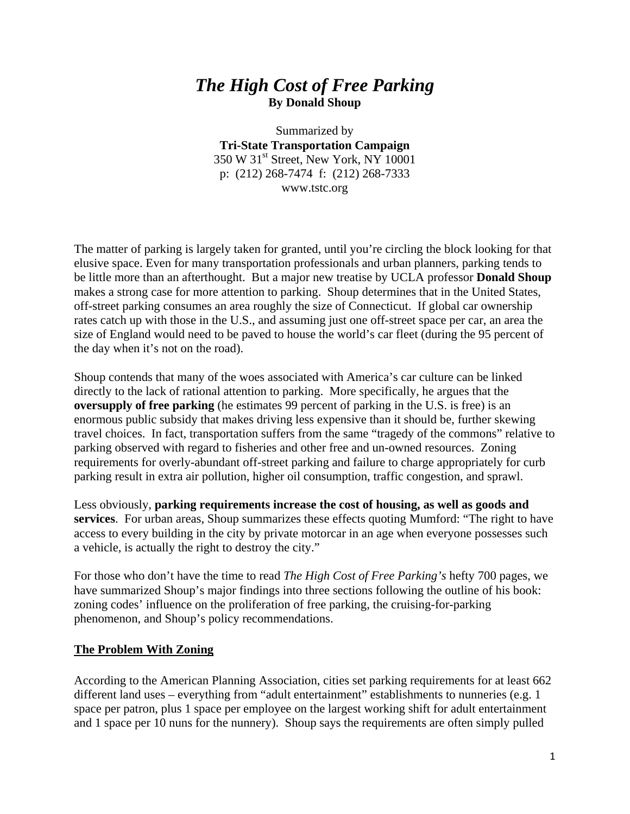## *The High Cost of Free Parking*  **By Donald Shoup**

Summarized by **Tri-State Transportation Campaign**  350 W 31<sup>st</sup> Street, New York, NY 10001 p: (212) 268-7474 f: (212) 268-7333 www.tstc.org

The matter of parking is largely taken for granted, until you're circling the block looking for that elusive space. Even for many transportation professionals and urban planners, parking tends to be little more than an afterthought. But a major new treatise by UCLA professor **Donald Shoup**  makes a strong case for more attention to parking. Shoup determines that in the United States, off-street parking consumes an area roughly the size of Connecticut. If global car ownership rates catch up with those in the U.S., and assuming just one off-street space per car, an area the size of England would need to be paved to house the world's car fleet (during the 95 percent of the day when it's not on the road).

Shoup contends that many of the woes associated with America's car culture can be linked directly to the lack of rational attention to parking. More specifically, he argues that the **oversupply of free parking** (he estimates 99 percent of parking in the U.S. is free) is an enormous public subsidy that makes driving less expensive than it should be, further skewing travel choices. In fact, transportation suffers from the same "tragedy of the commons" relative to parking observed with regard to fisheries and other free and un-owned resources. Zoning requirements for overly-abundant off-street parking and failure to charge appropriately for curb parking result in extra air pollution, higher oil consumption, traffic congestion, and sprawl.

Less obviously, **parking requirements increase the cost of housing, as well as goods and services**. For urban areas, Shoup summarizes these effects quoting Mumford: "The right to have access to every building in the city by private motorcar in an age when everyone possesses such a vehicle, is actually the right to destroy the city."

For those who don't have the time to read *The High Cost of Free Parking's* hefty 700 pages, we have summarized Shoup's major findings into three sections following the outline of his book: zoning codes' influence on the proliferation of free parking, the cruising-for-parking phenomenon, and Shoup's policy recommendations.

#### **The Problem With Zoning**

According to the American Planning Association, cities set parking requirements for at least 662 different land uses – everything from "adult entertainment" establishments to nunneries (e.g. 1) space per patron, plus 1 space per employee on the largest working shift for adult entertainment and 1 space per 10 nuns for the nunnery). Shoup says the requirements are often simply pulled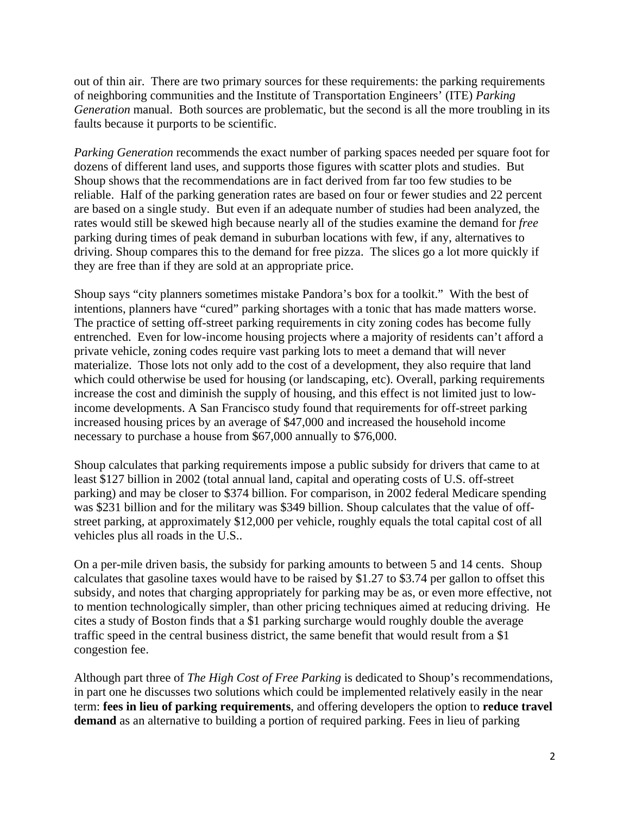out of thin air. There are two primary sources for these requirements: the parking requirements of neighboring communities and the Institute of Transportation Engineers' (ITE) *Parking Generation* manual. Both sources are problematic, but the second is all the more troubling in its faults because it purports to be scientific.

*Parking Generation* recommends the exact number of parking spaces needed per square foot for dozens of different land uses, and supports those figures with scatter plots and studies. But Shoup shows that the recommendations are in fact derived from far too few studies to be reliable. Half of the parking generation rates are based on four or fewer studies and 22 percent are based on a single study. But even if an adequate number of studies had been analyzed, the rates would still be skewed high because nearly all of the studies examine the demand for *free* parking during times of peak demand in suburban locations with few, if any, alternatives to driving. Shoup compares this to the demand for free pizza. The slices go a lot more quickly if they are free than if they are sold at an appropriate price.

Shoup says "city planners sometimes mistake Pandora's box for a toolkit." With the best of intentions, planners have "cured" parking shortages with a tonic that has made matters worse. The practice of setting off-street parking requirements in city zoning codes has become fully entrenched. Even for low-income housing projects where a majority of residents can't afford a private vehicle, zoning codes require vast parking lots to meet a demand that will never materialize. Those lots not only add to the cost of a development, they also require that land which could otherwise be used for housing (or landscaping, etc). Overall, parking requirements increase the cost and diminish the supply of housing, and this effect is not limited just to lowincome developments. A San Francisco study found that requirements for off-street parking increased housing prices by an average of \$47,000 and increased the household income necessary to purchase a house from \$67,000 annually to \$76,000.

Shoup calculates that parking requirements impose a public subsidy for drivers that came to at least \$127 billion in 2002 (total annual land, capital and operating costs of U.S. off-street parking) and may be closer to \$374 billion. For comparison, in 2002 federal Medicare spending was \$231 billion and for the military was \$349 billion. Shoup calculates that the value of offstreet parking, at approximately \$12,000 per vehicle, roughly equals the total capital cost of all vehicles plus all roads in the U.S..

On a per-mile driven basis, the subsidy for parking amounts to between 5 and 14 cents. Shoup calculates that gasoline taxes would have to be raised by \$1.27 to \$3.74 per gallon to offset this subsidy, and notes that charging appropriately for parking may be as, or even more effective, not to mention technologically simpler, than other pricing techniques aimed at reducing driving. He cites a study of Boston finds that a \$1 parking surcharge would roughly double the average traffic speed in the central business district, the same benefit that would result from a \$1 congestion fee.

Although part three of *The High Cost of Free Parking* is dedicated to Shoup's recommendations, in part one he discusses two solutions which could be implemented relatively easily in the near term: **fees in lieu of parking requirements**, and offering developers the option to **reduce travel demand** as an alternative to building a portion of required parking. Fees in lieu of parking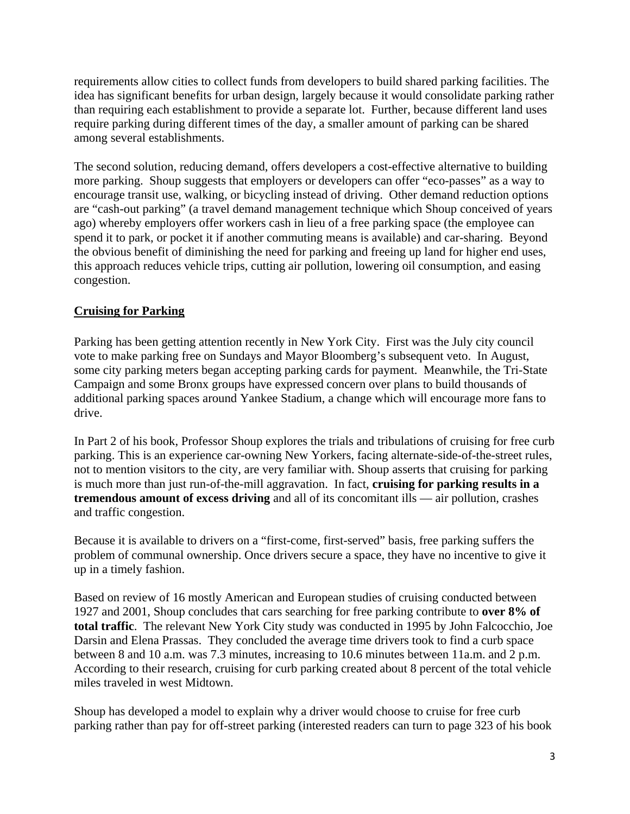requirements allow cities to collect funds from developers to build shared parking facilities. The idea has significant benefits for urban design, largely because it would consolidate parking rather than requiring each establishment to provide a separate lot. Further, because different land uses require parking during different times of the day, a smaller amount of parking can be shared among several establishments.

The second solution, reducing demand, offers developers a cost-effective alternative to building more parking. Shoup suggests that employers or developers can offer "eco-passes" as a way to encourage transit use, walking, or bicycling instead of driving. Other demand reduction options are "cash-out parking" (a travel demand management technique which Shoup conceived of years ago) whereby employers offer workers cash in lieu of a free parking space (the employee can spend it to park, or pocket it if another commuting means is available) and car-sharing. Beyond the obvious benefit of diminishing the need for parking and freeing up land for higher end uses, this approach reduces vehicle trips, cutting air pollution, lowering oil consumption, and easing congestion.

#### **Cruising for Parking**

Parking has been getting attention recently in New York City. First was the July city council vote to make parking free on Sundays and Mayor Bloomberg's subsequent veto. In August, some city parking meters began accepting parking cards for payment. Meanwhile, the Tri-State Campaign and some Bronx groups have expressed concern over plans to build thousands of additional parking spaces around Yankee Stadium, a change which will encourage more fans to drive.

In Part 2 of his book, Professor Shoup explores the trials and tribulations of cruising for free curb parking. This is an experience car-owning New Yorkers, facing alternate-side-of-the-street rules, not to mention visitors to the city, are very familiar with. Shoup asserts that cruising for parking is much more than just run-of-the-mill aggravation. In fact, **cruising for parking results in a tremendous amount of excess driving** and all of its concomitant ills — air pollution, crashes and traffic congestion.

Because it is available to drivers on a "first-come, first-served" basis, free parking suffers the problem of communal ownership. Once drivers secure a space, they have no incentive to give it up in a timely fashion.

Based on review of 16 mostly American and European studies of cruising conducted between 1927 and 2001, Shoup concludes that cars searching for free parking contribute to **over 8% of total traffic**. The relevant New York City study was conducted in 1995 by John Falcocchio, Joe Darsin and Elena Prassas. They concluded the average time drivers took to find a curb space between 8 and 10 a.m. was 7.3 minutes, increasing to 10.6 minutes between 11a.m. and 2 p.m. According to their research, cruising for curb parking created about 8 percent of the total vehicle miles traveled in west Midtown.

Shoup has developed a model to explain why a driver would choose to cruise for free curb parking rather than pay for off-street parking (interested readers can turn to page 323 of his book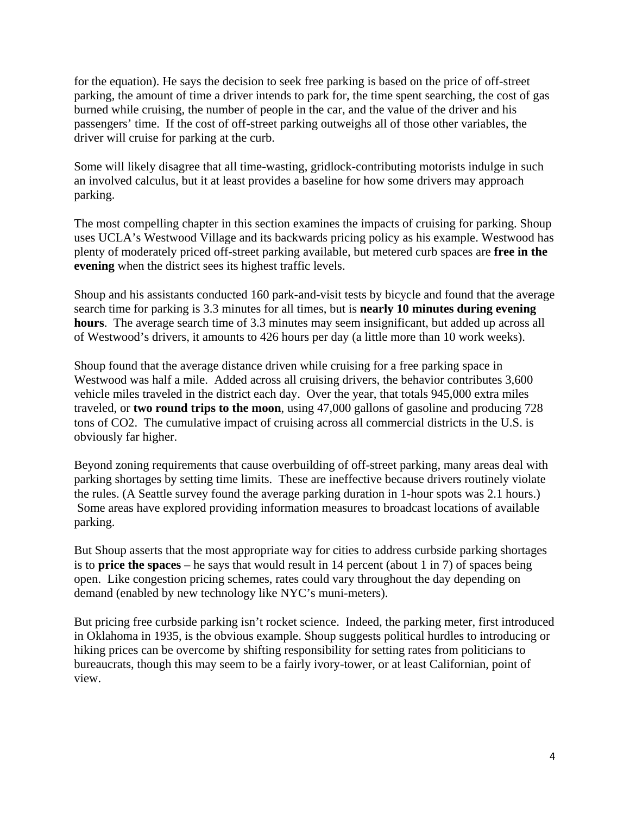for the equation). He says the decision to seek free parking is based on the price of off-street parking, the amount of time a driver intends to park for, the time spent searching, the cost of gas burned while cruising, the number of people in the car, and the value of the driver and his passengers' time. If the cost of off-street parking outweighs all of those other variables, the driver will cruise for parking at the curb.

Some will likely disagree that all time-wasting, gridlock-contributing motorists indulge in such an involved calculus, but it at least provides a baseline for how some drivers may approach parking.

The most compelling chapter in this section examines the impacts of cruising for parking. Shoup uses UCLA's Westwood Village and its backwards pricing policy as his example. Westwood has plenty of moderately priced off-street parking available, but metered curb spaces are **free in the evening** when the district sees its highest traffic levels.

Shoup and his assistants conducted 160 park-and-visit tests by bicycle and found that the average search time for parking is 3.3 minutes for all times, but is **nearly 10 minutes during evening hours**. The average search time of 3.3 minutes may seem insignificant, but added up across all of Westwood's drivers, it amounts to 426 hours per day (a little more than 10 work weeks).

Shoup found that the average distance driven while cruising for a free parking space in Westwood was half a mile. Added across all cruising drivers, the behavior contributes 3,600 vehicle miles traveled in the district each day. Over the year, that totals 945,000 extra miles traveled, or **two round trips to the moon**, using 47,000 gallons of gasoline and producing 728 tons of CO2. The cumulative impact of cruising across all commercial districts in the U.S. is obviously far higher.

Beyond zoning requirements that cause overbuilding of off-street parking, many areas deal with parking shortages by setting time limits. These are ineffective because drivers routinely violate the rules. (A Seattle survey found the average parking duration in 1-hour spots was 2.1 hours.) Some areas have explored providing information measures to broadcast locations of available parking.

But Shoup asserts that the most appropriate way for cities to address curbside parking shortages is to **price the spaces** – he says that would result in 14 percent (about 1 in 7) of spaces being open. Like congestion pricing schemes, rates could vary throughout the day depending on demand (enabled by new technology like NYC's muni-meters).

But pricing free curbside parking isn't rocket science. Indeed, the parking meter, first introduced in Oklahoma in 1935, is the obvious example. Shoup suggests political hurdles to introducing or hiking prices can be overcome by shifting responsibility for setting rates from politicians to bureaucrats, though this may seem to be a fairly ivory-tower, or at least Californian, point of view.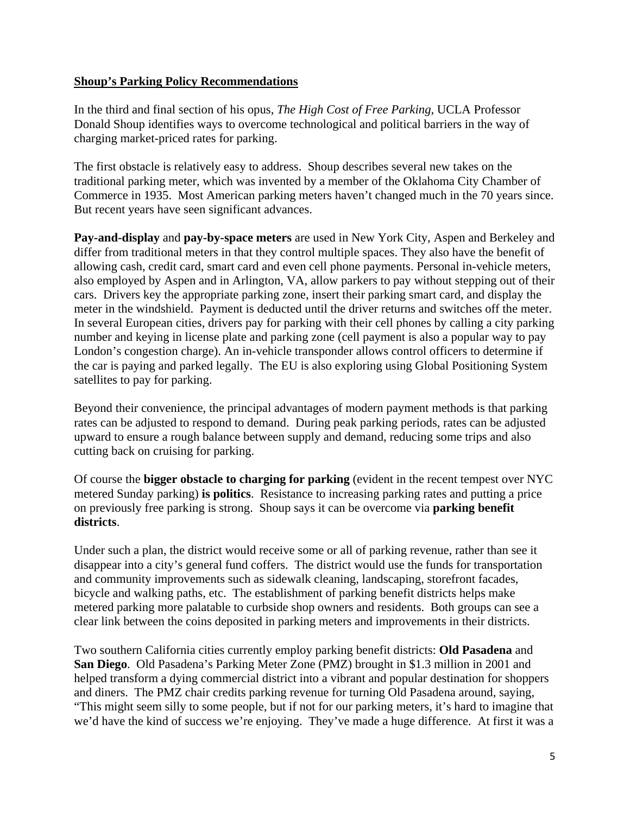#### **Shoup's Parking Policy Recommendations**

In the third and final section of his opus, *The High Cost of Free Parking*, UCLA Professor Donald Shoup identifies ways to overcome technological and political barriers in the way of charging market-priced rates for parking.

The first obstacle is relatively easy to address. Shoup describes several new takes on the traditional parking meter, which was invented by a member of the Oklahoma City Chamber of Commerce in 1935. Most American parking meters haven't changed much in the 70 years since. But recent years have seen significant advances.

**Pay-and-display** and **pay-by-space meters** are used in New York City, Aspen and Berkeley and differ from traditional meters in that they control multiple spaces. They also have the benefit of allowing cash, credit card, smart card and even cell phone payments. Personal in-vehicle meters, also employed by Aspen and in Arlington, VA, allow parkers to pay without stepping out of their cars. Drivers key the appropriate parking zone, insert their parking smart card, and display the meter in the windshield. Payment is deducted until the driver returns and switches off the meter. In several European cities, drivers pay for parking with their cell phones by calling a city parking number and keying in license plate and parking zone (cell payment is also a popular way to pay London's congestion charge). An in-vehicle transponder allows control officers to determine if the car is paying and parked legally. The EU is also exploring using Global Positioning System satellites to pay for parking.

Beyond their convenience, the principal advantages of modern payment methods is that parking rates can be adjusted to respond to demand. During peak parking periods, rates can be adjusted upward to ensure a rough balance between supply and demand, reducing some trips and also cutting back on cruising for parking.

Of course the **bigger obstacle to charging for parking** (evident in the recent tempest over NYC metered Sunday parking) **is politics**. Resistance to increasing parking rates and putting a price on previously free parking is strong. Shoup says it can be overcome via **parking benefit districts**.

Under such a plan, the district would receive some or all of parking revenue, rather than see it disappear into a city's general fund coffers. The district would use the funds for transportation and community improvements such as sidewalk cleaning, landscaping, storefront facades, bicycle and walking paths, etc. The establishment of parking benefit districts helps make metered parking more palatable to curbside shop owners and residents. Both groups can see a clear link between the coins deposited in parking meters and improvements in their districts.

Two southern California cities currently employ parking benefit districts: **Old Pasadena** and **San Diego**. Old Pasadena's Parking Meter Zone (PMZ) brought in \$1.3 million in 2001 and helped transform a dying commercial district into a vibrant and popular destination for shoppers and diners. The PMZ chair credits parking revenue for turning Old Pasadena around, saying, "This might seem silly to some people, but if not for our parking meters, it's hard to imagine that we'd have the kind of success we're enjoying. They've made a huge difference. At first it was a